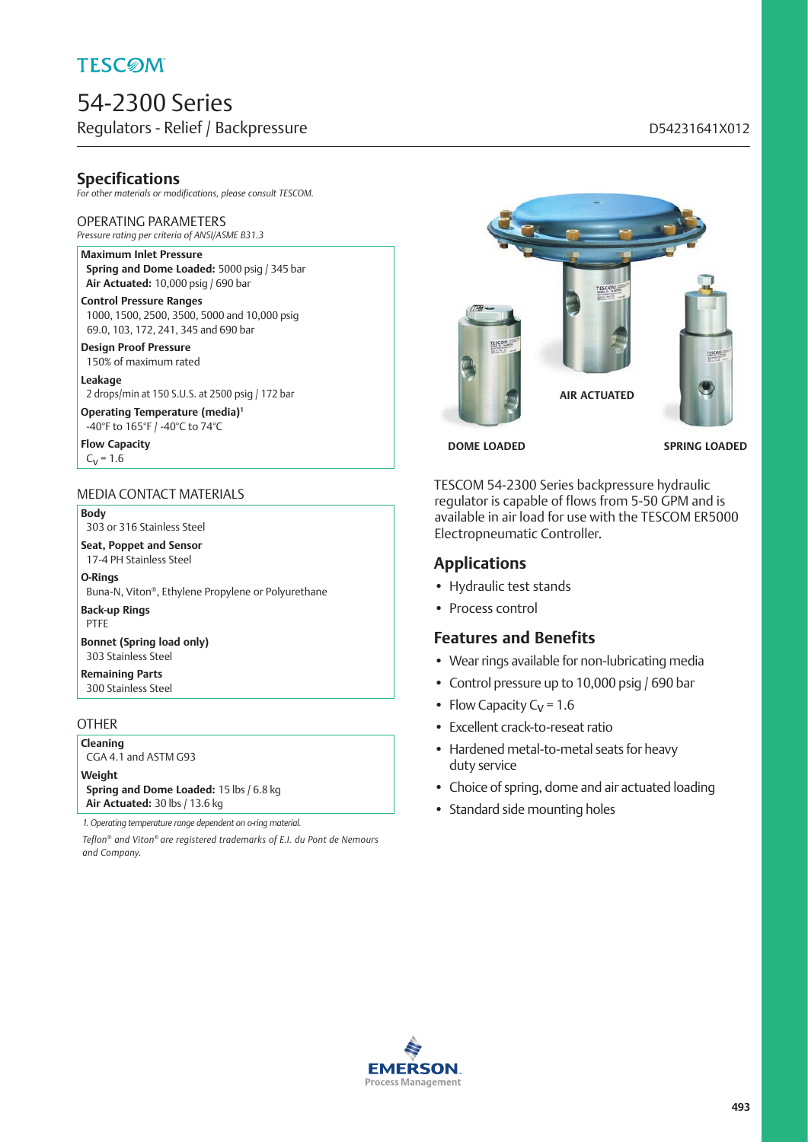# 54-2300 Series Regulators - Relief / Backpressure discussed by a state of the D54231641X012

## **Specifications**

*For other materials or modifications, please consult TESCOM.*

#### OPERATING PARAMETERS

*Pressure rating per criteria of ANSI/ASME B31.3*

#### **Maximum Inlet Pressure Spring and Dome Loaded:** 5000 psig / 345 bar **Air Actuated:** 10,000 psig / 690 bar

**Control Pressure Ranges** 1000, 1500, 2500, 3500, 5000 and 10,000 psig 69.0, 103, 172, 241, 345 and 690 bar

**Design Proof Pressure** 150% of maximum rated

**Leakage** 2 drops/min at 150 S.U.S. at 2500 psig / 172 bar

**Operating Temperature (media)1** -40°F to 165°F / -40°C to 74°C

**Flow Capacity**  $C_V = 1.6$ 

#### MEDIA CONTACT MATERIALS

#### **Body**

303 or 316 Stainless Steel

**Seat, Poppet and Sensor** 17-4 PH Stainless Steel

**O-Rings**

Buna-N, Viton®, Ethylene Propylene or Polyurethane

**Back-up Rings** PTFE

**Bonnet (Spring load only)** 303 Stainless Steel

**Remaining Parts** 300 Stainless Steel

### **OTHER**

**Cleaning** CGA 4.1 and ASTM G93

**Weight Spring and Dome Loaded:** 15 lbs / 6.8 kg

**Air Actuated:** 30 lbs / 13.6 kg

*1. Operating temperature range dependent on o-ring material.*

*Teflon® and Viton® are registered trademarks of E.I. du Pont de Nemours and Company.*



**DOME LOADED SPRING LOADED**

TESCOM 54-2300 Series backpressure hydraulic regulator is capable of flows from 5-50 GPM and is available in air load for use with the TESCOM ER5000 Electropneumatic Controller.

## **Applications**

- Hydraulic test stands
- Process control

## **Features and Benefits**

- Wear rings available for non-lubricating media
- Control pressure up to 10,000 psig / 690 bar
- Flow Capacity  $C_V = 1.6$
- Excellent crack-to-reseat ratio
- Hardened metal-to-metal seats for heavy duty service
- Choice of spring, dome and air actuated loading
- Standard side mounting holes

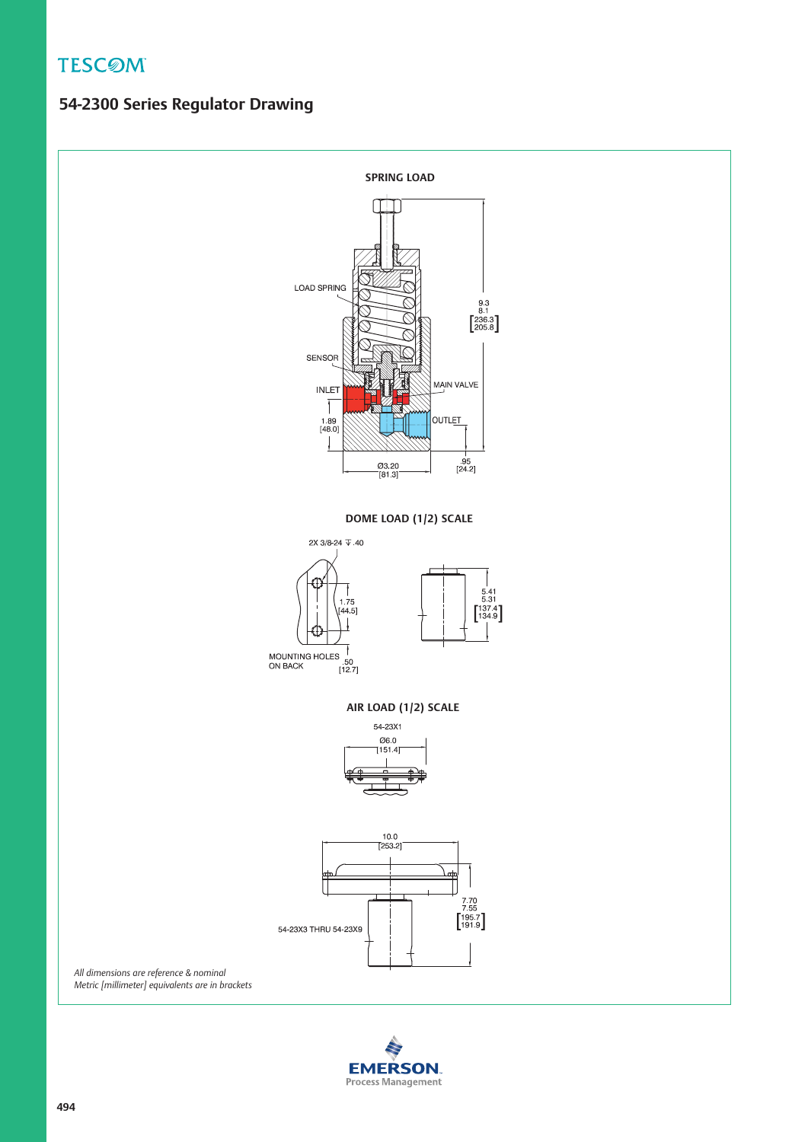## **54-2300 Series Regulator Drawing**



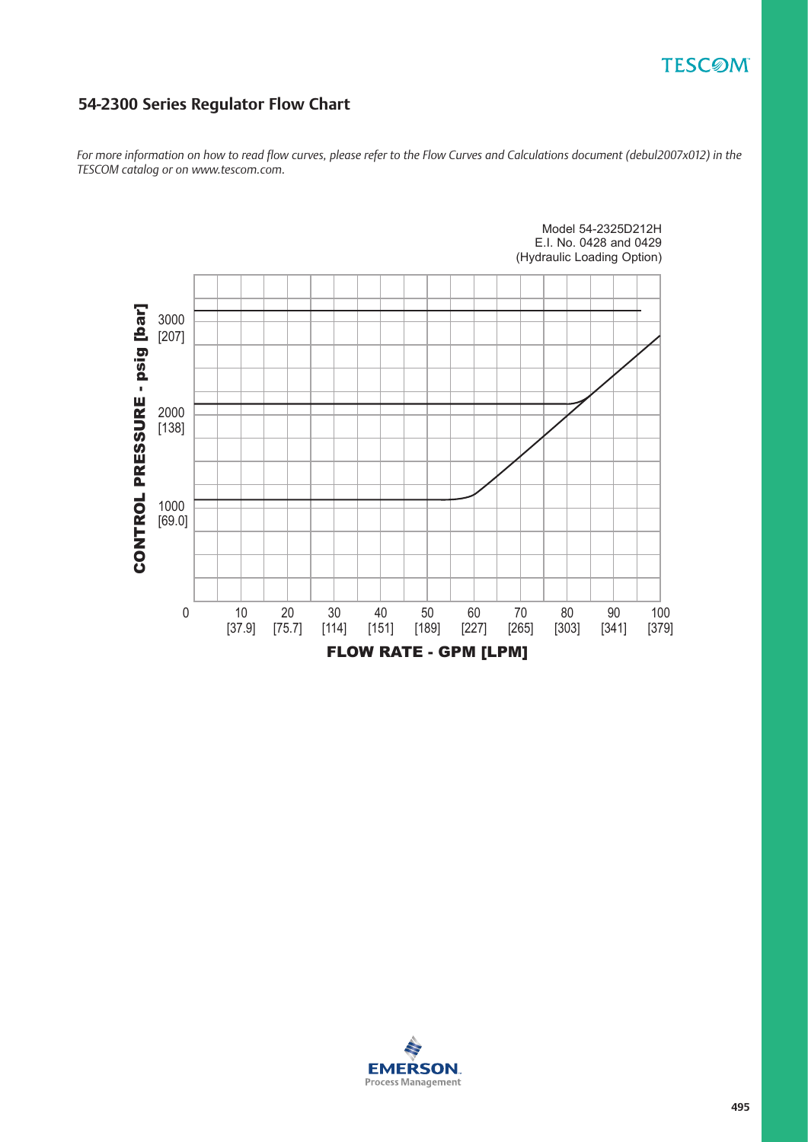## **54-2300 Series Regulator Flow Chart**

*For more information on how to read flow curves, please refer to the Flow Curves and Calculations document (debul2007x012) in the TESCOM catalog or on www.tescom.com.*